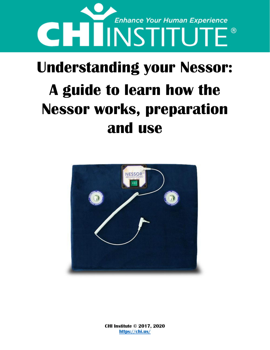

## **Understanding your Nessor: A guide to learn how the Nessor works, preparation and use**



**CHI Institute © 2017, 2020 <https://chi.us/>**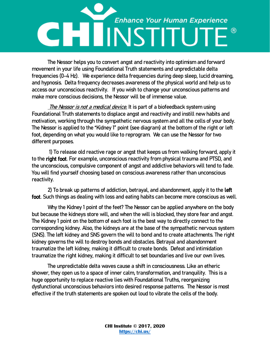# **Enhance Your Human Experience** CHLINSTITUTE

The Nessor helps you to convert angst and reactivity into optimism and forward movement in your life using Foundational Truth statements and unpredictable delta frequencies (0-4 Hz). We experience delta frequencies during deep sleep, lucid dreaming, and hypnosis. Delta frequency decreases awareness of the physical world and help us to access our unconscious reactivity. If you wish to change your unconscious patterns and make more conscious decisions, the Nessor will be of immense value.

The Nessor is not a medical device. It is part of a biofeedback system using Foundational Truth statements to displace angst and reactivity and instill new habits and motivation, working through the sympathetic nervous system and all the cells of your body. The Nessor is applied to the "Kidney 1" point (see diagram) at the bottom of the right or left foot, depending on what you would like to reprogram. We can use the Nessor for two different purposes.

1) To release old reactive rage or angst that keeps us from walking forward, apply it to the right foot. For example, unconscious reactivity from physical trauma and PTSD, and the unconscious, compulsive component of angst and addictive behaviors will tend to fade. You will find yourself choosing based on conscious awareness rather than unconscious reactivity.

2) To break up patterns of addiction, betrayal, and abandonment, apply it to the left foot. Such things as dealing with loss and eating habits can become more conscious as well.

Why the Kidney 1 point of the feet? The Nessor can be applied anywhere on the body but because the kidneys store will, and when the will is blocked, they store fear and angst. The Kidney 1 point on the bottom of each foot is the best way to directly connect to the corresponding kidney. Also, the kidneys are at the base of the sympathetic nervous system (SNS). The left kidney and SNS govern the will to bond and to create attachments. The right kidney governs the will to destroy bonds and obstacles. Betrayal and abandonment traumatize the left kidney, making it difficult to create bonds. Defeat and intimidation traumatize the right kidney, making it difficult to set boundaries and live our own lives.

The unpredictable delta waves cause a shift in consciousness. Like an etheric shower, they open us to a space of inner calm, transformation, and tranquility. This is a huge opportunity to replace reactive lies with Foundational Truths, reorganizing dysfunctional unconscious behaviors into desired response patterns. The Nessor is most effective if the truth statements are spoken out loud to vibrate the cells of the body.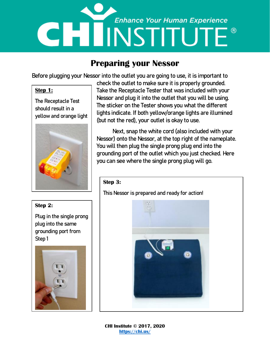## **Enhance Your Human Experience di 1 NSTITUTE®**

### **Preparing your Nessor**

Before plugging your Nessor into the outlet you are going to use, it is important to

#### **Step 1:**

The Receptacle Test should result in a yellow and orange light



#### **Step 2:**

Plug in the single prong plug into the same grounding port from Step 1



check the outlet to make sure it is properly grounded. Take the Receptacle Tester that was included with your Nessor and plug it into the outlet that you will be using. The sticker on the Tester shows you what the different lights indicate. If both yellow/orange lights are illumined (but not the red), your outlet is okay to use.

Next, snap the white cord (also included with your Nessor) onto the Nessor, at the top right of the nameplate. You will then plug the single prong plug end into the grounding port of the outlet which you just checked. Here you can see where the single prong plug will go.

#### **Step 3:**

This Nessor is prepared and ready for action!



**CHI Institute © 2017, 2020 <https://chi.us/>**